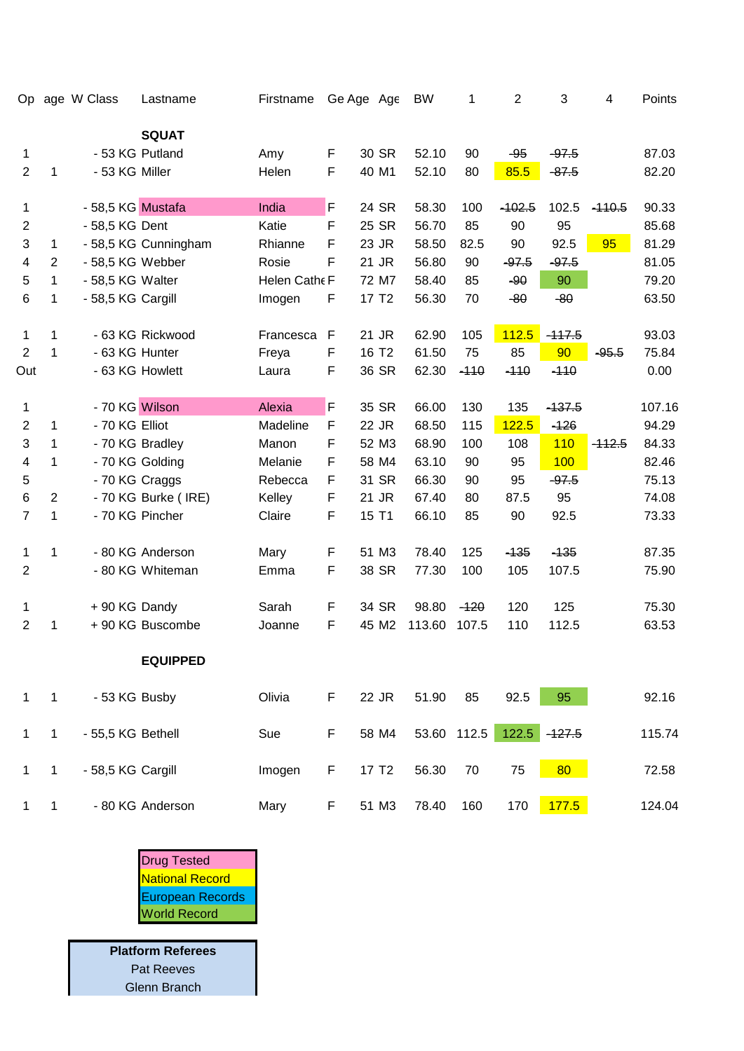| Op             |                | age W Class       | Lastname             | Firstname     |              | Ge Age Age        | <b>BW</b> | 1           | $\overline{2}$ | 3        | $\overline{4}$ | Points |
|----------------|----------------|-------------------|----------------------|---------------|--------------|-------------------|-----------|-------------|----------------|----------|----------------|--------|
|                |                |                   | <b>SQUAT</b>         |               |              |                   |           |             |                |          |                |        |
| 1              |                | - 53 KG Putland   |                      | Amy           | F            | 30 SR             | 52.10     | 90          | $-95$          | $-97.5$  |                | 87.03  |
| $\overline{2}$ | 1              | - 53 KG Miller    |                      | Helen         | F            | 40 M1             | 52.10     | 80          | 85.5           | $-87.5$  |                | 82.20  |
| 1              |                | - 58,5 KG Mustafa |                      | India         | F            | 24 SR             | 58.30     | 100         | $-102.5$       | 102.5    | $-110.5$       | 90.33  |
| $\overline{2}$ |                | - 58,5 KG Dent    |                      | Katie         | F            | 25 SR             | 56.70     | 85          | 90             | 95       |                | 85.68  |
| 3              | 1              |                   | - 58,5 KG Cunningham | Rhianne       | F            | 23 JR             | 58.50     | 82.5        | 90             | 92.5     | 95             | 81.29  |
| 4              | $\overline{2}$ | - 58,5 KG Webber  |                      | Rosie         | F            | 21 JR             | 56.80     | 90          | $-97.5$        | $-97.5$  |                | 81.05  |
| 5              | 1              | - 58,5 KG Walter  |                      | Helen Cathe F |              | 72 M7             | 58.40     | 85          | $-90$          | 90       |                | 79.20  |
| $\,6$          | 1              | - 58,5 KG Cargill |                      | Imogen        | F            | 17 T <sub>2</sub> | 56.30     | 70          | $-80$          | $-80$    |                | 63.50  |
| $\mathbf{1}$   | 1              |                   | - 63 KG Rickwood     | Francesca     | $\mathsf{F}$ | 21 JR             | 62.90     | 105         | 112.5          | $-117.5$ |                | 93.03  |
| 2              | 1              | - 63 KG Hunter    |                      | Freya         | F            | 16 T <sub>2</sub> | 61.50     | 75          | 85             | 90       | $-95.5$        | 75.84  |
| Out            |                |                   | - 63 KG Howlett      | Laura         | F            | 36 SR             | 62.30     | $-110$      | $-110$         | $-110$   |                | 0.00   |
| 1              |                | - 70 KG Wilson    |                      | Alexia        | F            | 35 SR             | 66.00     | 130         | 135            | $-137.5$ |                | 107.16 |
| $\overline{2}$ | 1              | - 70 KG Elliot    |                      | Madeline      | F            | 22 JR             | 68.50     | 115         | 122.5          | $-126$   |                | 94.29  |
| 3              | 1              |                   | - 70 KG Bradley      | Manon         | F            | 52 M3             | 68.90     | 100         | 108            | 110      | $-112.5$       | 84.33  |
| 4              | 1              |                   | - 70 KG Golding      | Melanie       | F            | 58 M4             | 63.10     | 90          | 95             | 100      |                | 82.46  |
| 5              |                | - 70 KG Craggs    |                      | Rebecca       | F            | 31 SR             | 66.30     | 90          | 95             | $-97.5$  |                | 75.13  |
| 6              | $\overline{2}$ |                   | - 70 KG Burke (IRE)  | Kelley        | F            | 21 JR             | 67.40     | 80          | 87.5           | 95       |                | 74.08  |
| 7              | 1              |                   | - 70 KG Pincher      | Claire        | F            | 15 T1             | 66.10     | 85          | 90             | 92.5     |                | 73.33  |
| 1              | 1              |                   | - 80 KG Anderson     | Mary          | F            | 51 M3             | 78.40     | 125         | $-135$         | $-135$   |                | 87.35  |
| $\overline{2}$ |                |                   | - 80 KG Whiteman     | Emma          | F            | 38 SR             | 77.30     | 100         | 105            | 107.5    |                | 75.90  |
| 1              |                | +90 KG Dandy      |                      | Sarah         | F            | 34 SR             | 98.80     | $-120$      | 120            | 125      |                | 75.30  |
| $\overline{2}$ | 1              |                   | + 90 KG Buscombe     | Joanne        | F            | 45 M2             | 113.60    | 107.5       | 110            | 112.5    |                | 63.53  |
|                |                |                   | <b>EQUIPPED</b>      |               |              |                   |           |             |                |          |                |        |
| $\mathbf{1}$   | $\mathbf{1}$   | - 53 KG Busby     |                      | Olivia        | F            | 22 JR             | 51.90     | 85          | 92.5           | 95       |                | 92.16  |
| $\mathbf 1$    | $\mathbf{1}$   | - 55,5 KG Bethell |                      | Sue           | $\mathsf F$  | 58 M4             |           | 53.60 112.5 | $122.5$        | $-127.5$ |                | 115.74 |
| 1              | $\mathbf{1}$   | - 58,5 KG Cargill |                      | Imogen        | $\mathsf F$  | 17 T <sub>2</sub> | 56.30     | 70          | 75             | 80       |                | 72.58  |
| 1              | $\mathbf{1}$   |                   | - 80 KG Anderson     | Mary          | F            | 51 M3             | 78.40     | 160         | 170            | 177.5    |                | 124.04 |



**Platform Referees** Pat Reeves Glenn Branch